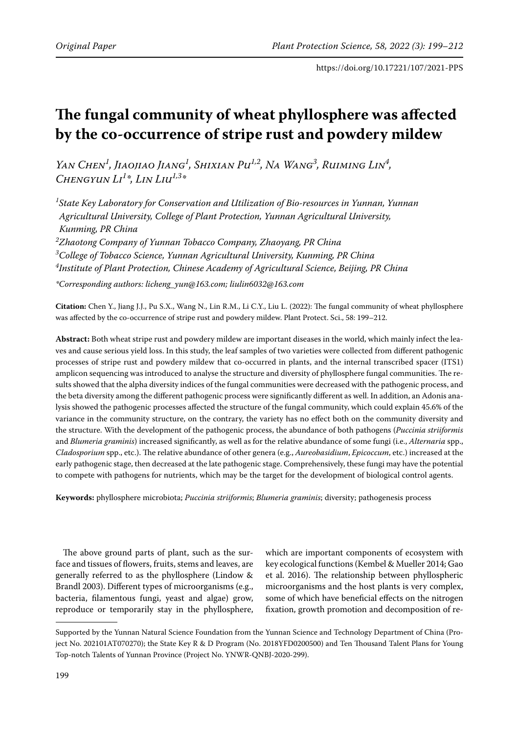# **The fungal community of wheat phyllosphere was affected by the co-occurrence of stripe rust and powdery mildew**

*Yan Chen<sup>1</sup>*, Jiaojiao Jiang<sup>1</sup>, Shixian Pu<sup>1,2</sup>, Na Wang<sup>3</sup>, Ruiming Lin<sup>4</sup>, *Chengyun Li1 \*, Lin Liu1,3\**

 *State Key Laboratory for Conservation and Utilization of Bio-resources in Yunnan, Yunnan Agricultural University, College of Plant Protection, Yunnan Agricultural University, Kunming, PR China Zhaotong Company of Yunnan Tobacco Company, Zhaoyang, PR China College of Tobacco Science, Yunnan Agricultural University, Kunming, PR China Institute of Plant Protection, Chinese Academy of Agricultural Science, Beijing, PR China*

*\*Corresponding authors: licheng\_yun@163.com; liulin6032@163.com*

**Citation:** Chen Y., Jiang J.J., Pu S.X., Wang N., Lin R.M., Li C.Y., Liu L. (2022): The fungal community of wheat phyllosphere was affected by the co-occurrence of stripe rust and powdery mildew. Plant Protect. Sci., 58: 199–212.

**Abstract:** Both wheat stripe rust and powdery mildew are important diseases in the world, which mainly infect the leaves and cause serious yield loss. In this study, the leaf samples of two varieties were collected from different pathogenic processes of stripe rust and powdery mildew that co-occurred in plants, and the internal transcribed spacer (ITS1) amplicon sequencing was introduced to analyse the structure and diversity of phyllosphere fungal communities. The results showed that the alpha diversity indices of the fungal communities were decreased with the pathogenic process, and the beta diversity among the different pathogenic process were significantly different as well. In addition, an Adonis analysis showed the pathogenic processes affected the structure of the fungal community, which could explain 45.6% of the variance in the community structure, on the contrary, the variety has no effect both on the community diversity and the structure. With the development of the pathogenic process, the abundance of both pathogens (*Puccinia striiformis*  and *Blumeria graminis*) increased significantly, as well as for the relative abundance of some fungi (i.e., *Alternaria* spp., *Cladosporium* spp., etc.). The relative abundance of other genera (e.g., *Aureobasidium*, *Epicoccum*, etc.) increased at the early pathogenic stage, then decreased at the late pathogenic stage. Comprehensively, these fungi may have the potential to compete with pathogens for nutrients, which may be the target for the development of biological control agents.

**Keywords:** phyllosphere microbiota; *Puccinia striiformis*; *Blumeria graminis*; diversity; pathogenesis process

The above ground parts of plant, such as the surface and tissues of flowers, fruits, stems and leaves, are generally referred to as the phyllosphere (Lindow & Brandl 2003). Different types of microorganisms (e.g., bacteria, filamentous fungi, yeast and algae) grow, reproduce or temporarily stay in the phyllosphere, which are important components of ecosystem with key ecological functions (Kembel & Mueller 2014; Gao et al. 2016). The relationship between phyllospheric microorganisms and the host plants is very complex, some of which have beneficial effects on the nitrogen fixation, growth promotion and decomposition of re-

Supported by the Yunnan Natural Science Foundation from the Yunnan Science and Technology Department of China (Project No. 202101AT070270); the State Key R & D Program (No. 2018YFD0200500) and Ten Thousand Talent Plans for Young Top-notch Talents of Yunnan Province (Project No. YNWR-QNBJ-2020-299).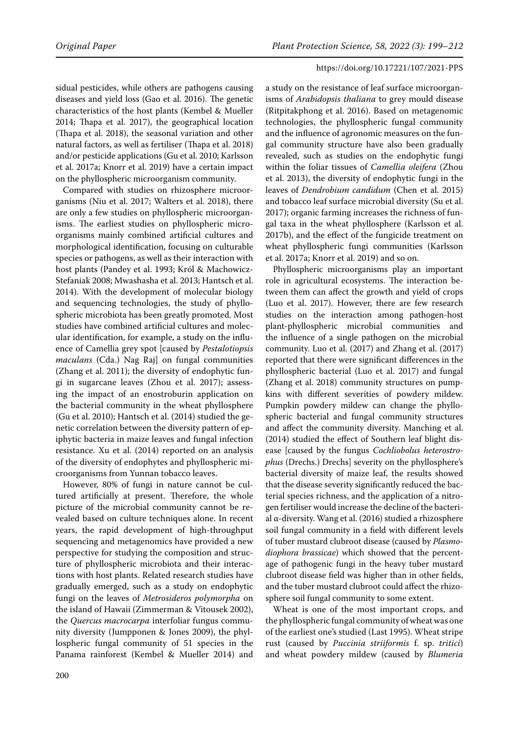sidual pesticides, while others are pathogens causing diseases and yield loss (Gao et al. 2016). The genetic characteristics of the host plants (Kembel & Mueller 2014; Thapa et al. 2017), the geographical location (Thapa et al. 2018), the seasonal variation and other natural factors, as well as fertiliser (Thapa et al. 2018) and/or pesticide applications (Gu et al. 2010; Karlsson et al. 2017a; Knorr et al. 2019) have a certain impact on the phyllospheric microorganism community.

Compared with studies on rhizosphere microorganisms (Niu et al. 2017; Walters et al. 2018), there are only a few studies on phyllospheric microorganisms. The earliest studies on phyllospheric microorganisms mainly combined artificial cultures and morphological identification, focusing on culturable species or pathogens, as well as their interaction with host plants (Pandey et al. 1993; Król & Machowicz-Stefaniak 2008; Mwashasha et al. 2013; Hantsch et al. 2014). With the development of molecular biology and sequencing technologies, the study of phyllospheric microbiota has been greatly promoted. Most studies have combined artificial cultures and molecular identification, for example, a study on the influence of Camellia grey spot [caused by *Pestalotiopsis maculans* (Cda.) Nag Raj] on fungal communities (Zhang et al. 2011); the diversity of endophytic fungi in sugarcane leaves (Zhou et al. 2017); assessing the impact of an enostroburin application on the bacterial community in the wheat phyllosphere (Gu et al. 2010); Hantsch et al. (2014) studied the genetic correlation between the diversity pattern of epiphytic bacteria in maize leaves and fungal infection resistance. Xu et al. (2014) reported on an analysis of the diversity of endophytes and phyllospheric microorganisms from Yunnan tobacco leaves.

However, 80% of fungi in nature cannot be cultured artificially at present. Therefore, the whole picture of the microbial community cannot be revealed based on culture techniques alone. In recent years, the rapid development of high-throughput sequencing and metagenomics have provided a new perspective for studying the composition and structure of phyllospheric microbiota and their interactions with host plants. Related research studies have gradually emerged, such as a study on endophytic fungi on the leaves of *Metrosideros polymorpha* on the island of Hawaii (Zimmerman & Vitousek 2002), the *Quercus macrocarpa* interfoliar fungus community diversity (Jumpponen & Jones 2009), the phyllospheric fungal community of 51 species in the Panama rainforest (Kembel & Mueller 2014) and

a study on the resistance of leaf surface microorganisms of *Arabidopsis thaliana* to grey mould disease (Ritpitakphong et al. 2016). Based on metagenomic technologies, the phyllospheric fungal community and the influence of agronomic measures on the fungal community structure have also been gradually revealed, such as studies on the endophytic fungi within the foliar tissues of *Camellia oleifera* (Zhou et al. 2013), the diversity of endophytic fungi in the leaves of *Dendrobium candidum* (Chen et al. 2015) and tobacco leaf surface microbial diversity (Su et al. 2017); organic farming increases the richness of fungal taxa in the wheat phyllosphere (Karlsson et al. 2017b), and the effect of the fungicide treatment on wheat phyllospheric fungi communities (Karlsson et al. 2017a; Knorr et al. 2019) and so on.

Phyllospheric microorganisms play an important role in agricultural ecosystems. The interaction between them can affect the growth and yield of crops (Luo et al. 2017). However, there are few research studies on the interaction among pathogen-host plant-phyllospheric microbial communities and the influence of a single pathogen on the microbial community. Luo et al. (2017) and Zhang et al. (2017) reported that there were significant differences in the phyllospheric bacterial (Luo et al. 2017) and fungal (Zhang et al. 2018) community structures on pumpkins with different severities of powdery mildew. Pumpkin powdery mildew can change the phyllospheric bacterial and fungal community structures and affect the community diversity. Manching et al. (2014) studied the effect of Southern leaf blight disease [caused by the fungus *Cochliobolus heterostrophus* (Drechs.) Drechs] severity on the phyllosphere's bacterial diversity of maize leaf, the results showed that the disease severity significantly reduced the bacterial species richness, and the application of a nitrogen fertiliser would increase the decline of the bacterial α-diversity. Wang et al. (2016) studied a rhizosphere soil fungal community in a field with different levels of tuber mustard clubroot disease (caused by *Plasmodiophora brassicae*) which showed that the percentage of pathogenic fungi in the heavy tuber mustard clubroot disease field was higher than in other fields, and the tuber mustard clubroot could affect the rhizosphere soil fungal community to some extent.

Wheat is one of the most important crops, and the phyllospheric fungal community of wheat was one of the earliest one's studied (Last 1995). Wheat stripe rust (caused by *Puccinia striiformis* f. sp. *tritici*) and wheat powdery mildew (caused by *Blumeria*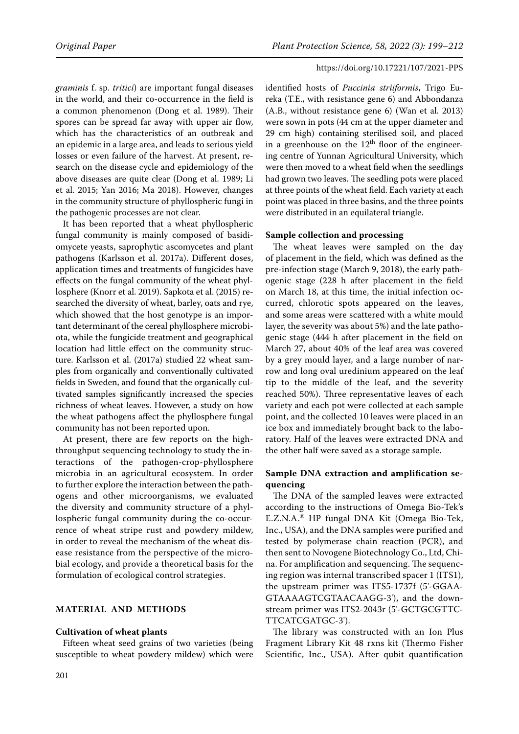*graminis* f. sp. *tritici*) are important fungal diseases in the world, and their co-occurrence in the field is a common phenomenon (Dong et al. 1989). Their spores can be spread far away with upper air flow, which has the characteristics of an outbreak and an epidemic in a large area, and leads to serious yield losses or even failure of the harvest. At present, research on the disease cycle and epidemiology of the above diseases are quite clear (Dong et al. 1989; Li et al. 2015; Yan 2016; Ma 2018). However, changes in the community structure of phyllospheric fungi in the pathogenic processes are not clear.

It has been reported that a wheat phyllospheric fungal community is mainly composed of basidiomycete yeasts, saprophytic ascomycetes and plant pathogens (Karlsson et al. 2017a). Different doses, application times and treatments of fungicides have effects on the fungal community of the wheat phyllosphere (Knorr et al. 2019). Sapkota et al. (2015) researched the diversity of wheat, barley, oats and rye, which showed that the host genotype is an important determinant of the cereal phyllosphere microbiota, while the fungicide treatment and geographical location had little effect on the community structure. Karlsson et al. (2017a) studied 22 wheat samples from organically and conventionally cultivated fields in Sweden, and found that the organically cultivated samples significantly increased the species richness of wheat leaves. However, a study on how the wheat pathogens affect the phyllosphere fungal community has not been reported upon.

At present, there are few reports on the highthroughput sequencing technology to study the interactions of the pathogen-crop-phyllosphere microbia in an agricultural ecosystem. In order to further explore the interaction between the pathogens and other microorganisms, we evaluated the diversity and community structure of a phyllospheric fungal community during the co-occurrence of wheat stripe rust and powdery mildew, in order to reveal the mechanism of the wheat disease resistance from the perspective of the microbial ecology, and provide a theoretical basis for the formulation of ecological control strategies.

# **MATERIAL AND METHODS**

#### **Cultivation of wheat plants**

Fifteen wheat seed grains of two varieties (being susceptible to wheat powdery mildew) which were

identified hosts of *Puccinia striiformis*, Trigo Eureka (T.E., with resistance gene 6) and Abbondanza (A.B., without resistance gene 6) (Wan et al. 2013) were sown in pots (44 cm at the upper diameter and 29 cm high) containing sterilised soil, and placed in a greenhouse on the  $12<sup>th</sup>$  floor of the engineering centre of Yunnan Agricultural University, which were then moved to a wheat field when the seedlings had grown two leaves. The seedling pots were placed at three points of the wheat field. Each variety at each point was placed in three basins, and the three points were distributed in an equilateral triangle.

## **Sample collection and processing**

The wheat leaves were sampled on the day of placement in the field, which was defined as the pre-infection stage (March 9, 2018), the early pathogenic stage (228 h after placement in the field on March 18, at this time, the initial infection occurred, chlorotic spots appeared on the leaves, and some areas were scattered with a white mould layer, the severity was about 5%) and the late pathogenic stage (444 h after placement in the field on March 27, about 40% of the leaf area was covered by a grey mould layer, and a large number of narrow and long oval uredinium appeared on the leaf tip to the middle of the leaf, and the severity reached 50%). Three representative leaves of each variety and each pot were collected at each sample point, and the collected 10 leaves were placed in an ice box and immediately brought back to the laboratory. Half of the leaves were extracted DNA and the other half were saved as a storage sample.

# **Sample DNA extraction and amplification sequencing**

The DNA of the sampled leaves were extracted according to the instructions of Omega Bio-Tek's E.Z.N.A.® HP fungal DNA Kit (Omega Bio-Tek, Inc., USA), and the DNA samples were purified and tested by polymerase chain reaction (PCR), and then sent to Novogene Biotechnology Co., Ltd, China. For amplification and sequencing. The sequencing region was internal transcribed spacer 1 (ITS1), the upstream primer was ITS5-1737f (5'-GGAA-GTAAAAGTCGTAACAAGG-3'), and the downstream primer was ITS2-2043r (5'-GCTGCGTTC-TTCATCGATGC-3').

The library was constructed with an Ion Plus Fragment Library Kit 48 rxns kit (Thermo Fisher Scientific, Inc., USA). After qubit quantification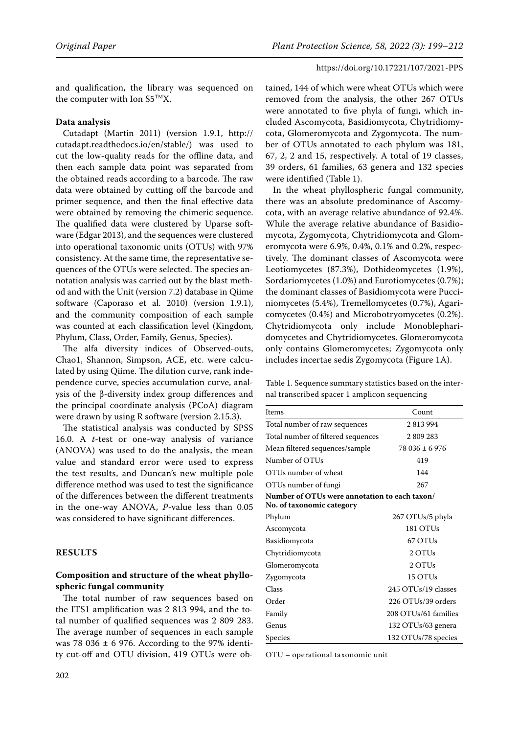and qualification, the library was sequenced on the computer with Ion  $S5^{TM}X$ .

## **Data analysis**

Cutadapt (Martin 2011) (version 1.9.1, http:// cutadapt.readthedocs.io/en/stable/) was used to cut the low-quality reads for the offline data, and then each sample data point was separated from the obtained reads according to a barcode. The raw data were obtained by cutting off the barcode and primer sequence, and then the final effective data were obtained by removing the chimeric sequence. The qualified data were clustered by Uparse software (Edgar 2013), and the sequences were clustered into operational taxonomic units (OTUs) with 97% consistency. At the same time, the representative sequences of the OTUs were selected. The species annotation analysis was carried out by the blast method and with the Unit (version 7.2) database in Qiime software (Caporaso et al. 2010) (version 1.9.1), and the community composition of each sample was counted at each classification level (Kingdom, Phylum, Class, Order, Family, Genus, Species).

The alfa diversity indices of Observed-outs, Chao1, Shannon, Simpson, ACE, etc. were calculated by using Qiime. The dilution curve, rank independence curve, species accumulation curve, analysis of the β-diversity index group differences and the principal coordinate analysis (PCoA) diagram were drawn by using R software (version 2.15.3).

The statistical analysis was conducted by SPSS 16.0. A *t*-test or one-way analysis of variance (ANOVA) was used to do the analysis, the mean value and standard error were used to express the test results, and Duncan's new multiple pole difference method was used to test the significance of the differences between the different treatments in the one-way ANOVA, *P-*value less than 0.05 was considered to have significant differences.

#### **RESULTS**

# **Composition and structure of the wheat phyllospheric fungal community**

The total number of raw sequences based on the ITS1 amplification was 2 813 994, and the total number of qualified sequences was 2 809 283. The average number of sequences in each sample was 78 036  $\pm$  6 976. According to the 97% identity cut-off and OTU division, 419 OTUs were ob-

tained, 144 of which were wheat OTUs which were removed from the analysis, the other 267 OTUs were annotated to five phyla of fungi, which included Ascomycota, Basidiomycota, Chytridiomycota, Glomeromycota and Zygomycota. The number of OTUs annotated to each phylum was 181, 67, 2, 2 and 15, respectively. A total of 19 classes, 39 orders, 61 families, 63 genera and 132 species were identified (Table 1).

In the wheat phyllospheric fungal community, there was an absolute predominance of Ascomycota, with an average relative abundance of 92.4%. While the average relative abundance of Basidiomycota, Zygomycota, Chytridiomycota and Glomeromycota were 6.9%, 0.4%, 0.1% and 0.2%, respectively. The dominant classes of Ascomycota were Leotiomycetes (87.3%), Dothideomycetes (1.9%), Sordariomycetes (1.0%) and Eurotiomycetes (0.7%); the dominant classes of Basidiomycota were Pucciniomycetes (5.4%), Tremellomycetes (0.7%), Agaricomycetes (0.4%) and Microbotryomycetes (0.2%). Chytridiomycota only include Monoblepharidomycetes and Chytridiomycetes. Glomeromycota only contains Glomeromycetes; Zygomycota only includes incertae sedis Zygomycota (Figure 1A).

Table 1. Sequence summary statistics based on the internal transcribed spacer 1 amplicon sequencing

| Items                                                                      | Count                |  |  |  |  |
|----------------------------------------------------------------------------|----------------------|--|--|--|--|
| Total number of raw sequences                                              | 2813994              |  |  |  |  |
| Total number of filtered sequences                                         | 2809283              |  |  |  |  |
| Mean filtered sequences/sample                                             | $78036 \pm 6976$     |  |  |  |  |
| Number of OTUs                                                             | 419                  |  |  |  |  |
| OTUs number of wheat                                                       | 144                  |  |  |  |  |
| OTUs number of fungi                                                       | 267                  |  |  |  |  |
| Number of OTUs were annotation to each taxon/<br>No. of taxonomic category |                      |  |  |  |  |
| Phylum                                                                     | 267 OTUs/5 phyla     |  |  |  |  |
| Ascomycota                                                                 | 181 OTUs             |  |  |  |  |
| Basidiomycota                                                              | 67 OTUs              |  |  |  |  |
| Chytridiomycota                                                            | 2 OTUs               |  |  |  |  |
| Glomeromycota                                                              | 2 OTUs               |  |  |  |  |
| Zygomycota                                                                 | 15 OTUs              |  |  |  |  |
| Class                                                                      | 245 OTUs/19 classes  |  |  |  |  |
| Order                                                                      | 226 OTUs/39 orders   |  |  |  |  |
| Family                                                                     | 208 OTUs/61 families |  |  |  |  |
| Genus                                                                      | 132 OTUs/63 genera   |  |  |  |  |
| Species                                                                    | 132 OTUs/78 species  |  |  |  |  |

OTU – operational taxonomic unit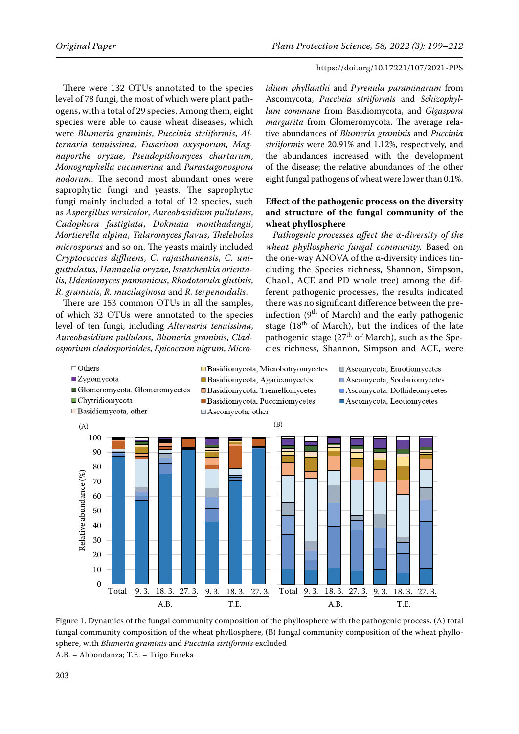There were 132 OTUs annotated to the species level of 78 fungi, the most of which were plant pathogens, with a total of 29 species. Among them, eight species were able to cause wheat diseases, which were *Blumeria graminis*, *Puccinia striiformis*, *Alternaria tenuissima*, *Fusarium oxysporum*, *Magnaporthe oryzae*, *Pseudopithomyces chartarum*, *Monographella cucumerina* and *Parastagonospora nodorum*. The second most abundant ones were saprophytic fungi and yeasts. The saprophytic fungi mainly included a total of 12 species, such as *Aspergillus versicolor*, *Aureobasidium pullulans*, *Cadophora fastigiata*, *Dokmaia monthadangii*, *Mortierella alpina*, *Talaromyces flavus*, *Thelebolus microsporus* and so on. The yeasts mainly included *Cryptococcus diffluens*, *C. rajasthanensis*, *C. uniguttulatus*, *Hannaella oryzae*, *Issatchenkia orientalis*, *Udeniomyces pannonicus*, *Rhodotorula glutinis*, *R. graminis*, *R. mucilaginosa* and *R. terpenoidalis*.

There are 153 common OTUs in all the samples, of which 32 OTUs were annotated to the species level of ten fungi, including *Alternaria tenuissima*, *Aureobasidium pullulans*, *Blumeria graminis*, *Cladosporium cladosporioides*, *Epicoccum nigrum*, *Micro-*

*idium phyllanthi* and *Pyrenula paraminarum* from Ascomycota, *Puccinia striiformis* and *Schizophyllum commune* from Basidiomycota, and *Gigaspora margarita* from Glomeromycota. The average relative abundances of *Blumeria graminis* and *Puccinia striiformis* were 20.91% and 1.12%, respectively, and the abundances increased with the development of the disease; the relative abundances of the other eight fungal pathogens of wheat were lower than 0.1%.

# **Effect of the pathogenic process on the diversity and structure of the fungal community of the wheat phyllosphere**

*Pathogenic processes affect the* α*-diversity of the wheat phyllospheric fungal community.* Based on the one-way ANOVA of the α-diversity indices (including the Species richness, Shannon, Simpson, Chao1, ACE and PD whole tree) among the different pathogenic processes, the results indicated there was no significant difference between the preinfection  $(9<sup>th</sup>$  of March) and the early pathogenic stage ( $18<sup>th</sup>$  of March), but the indices of the late pathogenic stage  $(27<sup>th</sup>$  of March), such as the Species richness, Shannon, Simpson and ACE, were



Figure 1. Dynamics of fungal community composition of phyllosphere with the sphere, with *Blumeria graminis* and *Puccinia striiformis* excluded A.B. – Abbondanza; T.E. – Trigo Eureka Figure 1. Dynamics of the fungal community composition of the phyllosphere with the pathogenic process. (A) total fungal community composition of the wheat phyllosphere, (B) fungal community composition of the wheat phyllo-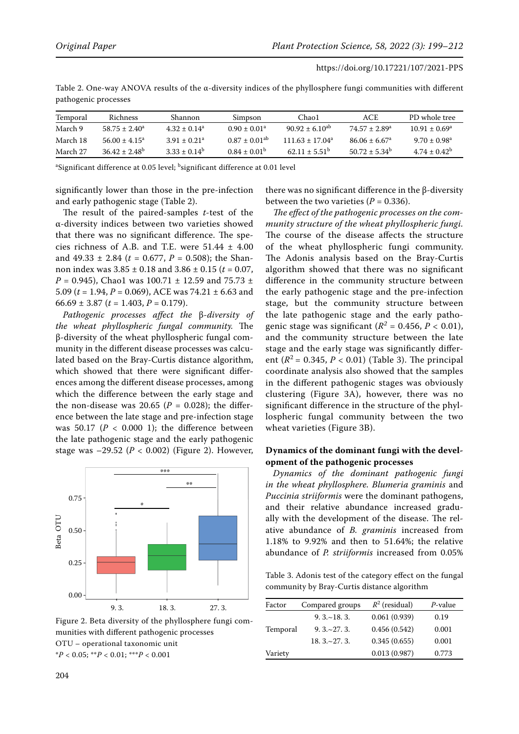| Temporal | <b>Richness</b>    | Shannon                    | Simpson            | Chao1                 | ACE                           | PD whole tree      |
|----------|--------------------|----------------------------|--------------------|-----------------------|-------------------------------|--------------------|
| March 9  | $58.75 \pm 2.40^a$ | $4.32 + 0.14a$             | $0.90 \pm 0.01^a$  | $90.92 \pm 6.10^{ab}$ | $74.57 + 2.89$ <sup>a</sup>   | $10.91 \pm 0.69^a$ |
| March 18 | $56.00 + 4.15^a$   | $3.91 + 0.21$ <sup>a</sup> | $0.87 + 0.01^{ab}$ | $111.63 + 17.04^a$    | $86.06 \pm 6.67$ <sup>a</sup> | $9.70 \pm 0.98^a$  |
| March 27 | $36.42 + 2.48^b$   | $3.33 + 0.14^b$            | $0.84 + 0.01^b$    | $62.11 + 5.51^b$      | $50.72 + 5.34^b$              | $4.74 + 0.42^b$    |

Table 2. One-way ANOVA results of the  $\alpha$ -diversity indices of the phyllosphere fungi communities with different pathogenic processes

<sup>a</sup>Significant difference at 0.05 level; <sup>b</sup>significant difference at 0.01 level

significantly lower than those in the pre-infection and early pathogenic stage (Table 2).

The result of the paired-samples *t*-test of the α-diversity indices between two varieties showed that there was no significant difference. The species richness of A.B. and T.E. were  $51.44 \pm 4.00$ and  $49.33 \pm 2.84$  ( $t = 0.677$ ,  $P = 0.508$ ); the Shannon index was 3.85 ± 0.18 and 3.86 ± 0.15 (*t* = 0.07,  $P = 0.945$ , Chao1 was 100.71  $\pm$  12.59 and 75.73  $\pm$ 5.09 ( $t = 1.94$ ,  $P = 0.069$ ), ACE was 74.21  $\pm$  6.63 and 66.69 ± 3.87 ( $t = 1.403$ ,  $P = 0.179$ ).

*Pathogenic processes affect the*  β-*diversity of the wheat phyllospheric fungal community.* The β-diversity of the wheat phyllospheric fungal community in the different disease processes was calculated based on the Bray-Curtis distance algorithm, which showed that there were significant differences among the different disease processes, among which the difference between the early stage and the non-disease was  $20.65$  ( $P = 0.028$ ); the difference between the late stage and pre-infection stage was  $50.17$  ( $P < 0.000$  1); the difference between the late pathogenic stage and the early pathogenic stage was  $-29.52$  ( $P < 0.002$ ) (Figure 2). However,



Figure 2. Beta diversity of the phyllosphere fungi com- $\overline{\phantom{a}}$ munities with different pathogenic processes OTU – operational taxonomic unit \**P* < 0.05; \*\**P* < 0.01; \*\*\**P* < 0.001

there was no significant difference in the β-diversity between the two varieties  $(P = 0.336)$ .

*The effect of the pathogenic processes on the community structure of the wheat phyllospheric fungi.* The course of the disease affects the structure of the wheat phyllospheric fungi community. The Adonis analysis based on the Bray-Curtis algorithm showed that there was no significant difference in the community structure between the early pathogenic stage and the pre-infection stage, but the community structure between the late pathogenic stage and the early pathogenic stage was significant ( $R^2$  = 0.456,  $P$  < 0.01), and the community structure between the late stage and the early stage was significantly different ( $R^2$  = 0.345,  $P < 0.01$ ) (Table 3). The principal coordinate analysis also showed that the samples in the different pathogenic stages was obviously clustering (Figure 3A), however, there was no significant difference in the structure of the phyllospheric fungal community between the two wheat varieties (Figure 3B).

# **Dynamics of the dominant fungi with the development of the pathogenic processes**

*Dynamics of the dominant pathogenic fungi in the wheat phyllosphere. Blumeria graminis* and *Puccinia striiformis* were the dominant pathogens, and their relative abundance increased gradually with the development of the disease. The relative abundance of *B. graminis* increased from 1.18% to 9.92% and then to 51.64%; the relative abundance of *P. striiformis* increased from 0.05%

Table 3. Adonis test of the category effect on the fungal community by Bray-Curtis distance algorithm

| Factor   | Compared groups   | $R^2$ (residual) | $P$ -value |
|----------|-------------------|------------------|------------|
|          | $9.3 - 18.3$      | 0.061(0.939)     | 0.19       |
| Temporal | $9.3 \times 27.3$ | 0.456(0.542)     | 0.001      |
|          | $18.3 \sim 27.3$  | 0.345(0.655)     | 0.001      |
| Variety  |                   | 0.013(0.987)     | 0.773      |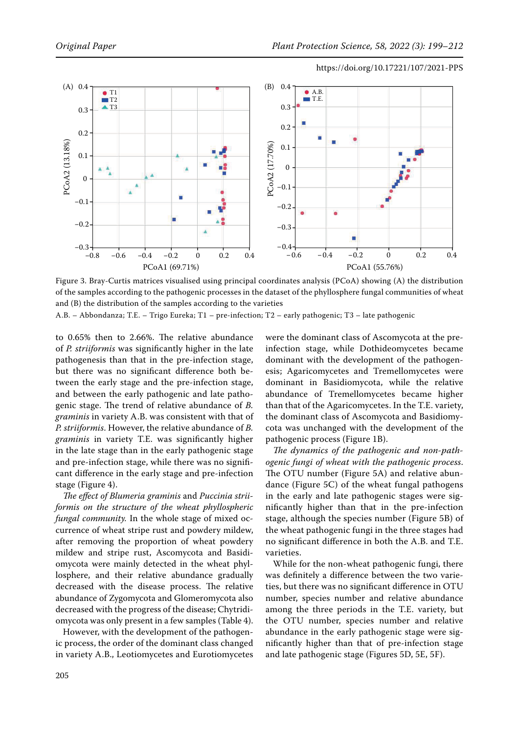

and (B) the distribution of the samples according to the varieties Figure 3. Bray-Curtis matrices visualised using principal coordinates analysis (PCoA) showing (A) the distribution of the samples according to the pathogenic processes in the dataset of the phyllosphere fungal communities of wheat

A.B. – Abbondanza; T.E. – Trigo Eureka; T1 – pre-infection; T2 – early pathogenic; T3 – late pathogenic

to 0.65% then to 2.66%. The relative abundance of *P. striiformis* was significantly higher in the late pathogenesis than that in the pre-infection stage, but there was no significant difference both between the early stage and the pre-infection stage, and between the early pathogenic and late pathogenic stage. The trend of relative abundance of *B. graminis* in variety A.B. was consistent with that of *P. striiformis*. However, the relative abundance of *B. graminis* in variety T.E. was significantly higher in the late stage than in the early pathogenic stage and pre-infection stage, while there was no significant difference in the early stage and pre-infection stage (Figure 4).

*The effect of Blumeria graminis* and *Puccinia striiformis on the structure of the wheat phyllospheric fungal community.* In the whole stage of mixed occurrence of wheat stripe rust and powdery mildew, after removing the proportion of wheat powdery mildew and stripe rust, Ascomycota and Basidiomycota were mainly detected in the wheat phyllosphere, and their relative abundance gradually decreased with the disease process. The relative abundance of Zygomycota and Glomeromycota also decreased with the progress of the disease; Chytridiomycota was only present in a few samples (Table 4).

However, with the development of the pathogenic process, the order of the dominant class changed in variety A.B., Leotiomycetes and Eurotiomycetes

% then to 2.66%. The relative abundance  $\;\;\;$  were the dominant class of Ascomycota at the preinfection stage, while Dothideomycetes became an that in the pre-infection stage, dominant with the development of the pathogenesis; Agaricomycetes and Tremellomycetes were dominant in Basidiomycota, while the relative abundance of Tremellomycetes became higher than that of the Agaricomycetes. In the T.E. variety, the dominant class of Ascomycota and Basidiomycota was unchanged with the development of the pathogenic process (Figure 1B).

> *The dynamics of the pathogenic and non-pathogenic fungi of wheat with the pathogenic process*. The OTU number (Figure 5A) and relative abundance (Figure 5C) of the wheat fungal pathogens in the early and late pathogenic stages were significantly higher than that in the pre-infection stage, although the species number (Figure 5B) of the wheat pathogenic fungi in the three stages had no significant difference in both the A.B. and T.E. varieties.

> While for the non-wheat pathogenic fungi, there was definitely a difference between the two varieties, but there was no significant difference in OTU number, species number and relative abundance among the three periods in the T.E. variety, but the OTU number, species number and relative abundance in the early pathogenic stage were significantly higher than that of pre-infection stage and late pathogenic stage (Figures 5D, 5E, 5F).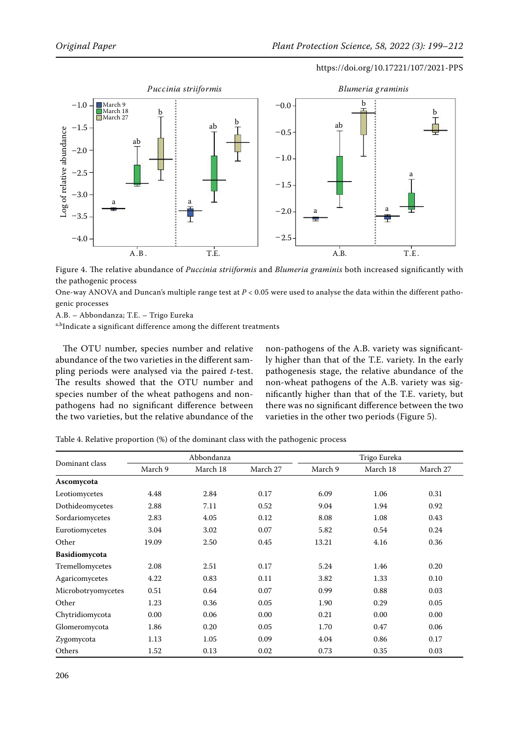

Figure 4. The relative abundance of Puccinia striiformis and Blumeria graminis both Figure 4. The relative abundance of *Puccinia striiformis* and *Blumeria graminis* both increased significantly with the pathogenic process

One-way ANOVA and Duncan's multiple range test at  $P < 0.05$  were used to analyse the data within the different patho- $N_{\rm F}$  and  $N_{\rm F}$  and  $N_{\rm F}$  and  $N_{\rm F}$  the data of the data  $N_{\rm F}$  the data  $N_{\rm F}$ genic processes

geme processes<br>A.B. – Abbondanza; T.E. – Trigo Eureka

a,bIndicate a significant difference among the different treatments

The OTU number, species number and relative abundance of the two varieties in the different sampling periods were analysed via the paired *t*-test. The results showed that the OTU number and species number of the wheat pathogens and nonpathogens had no significant difference between the two varieties, but the relative abundance of the

non-pathogens of the A.B. variety was significantly higher than that of the T.E. variety. In the early pathogenesis stage, the relative abundance of the non-wheat pathogens of the A.B. variety was significantly higher than that of the T.E. variety, but there was no significant difference between the two varieties in the other two periods (Figure 5).

Table 4. Relative proportion (%) of the dominant class with the pathogenic process

| Dominant class     | Abbondanza |          |          | Trigo Eureka |          |          |
|--------------------|------------|----------|----------|--------------|----------|----------|
|                    | March 9    | March 18 | March 27 | March 9      | March 18 | March 27 |
| Ascomycota         |            |          |          |              |          |          |
| Leotiomycetes      | 4.48       | 2.84     | 0.17     | 6.09         | 1.06     | 0.31     |
| Dothideomycetes    | 2.88       | 7.11     | 0.52     | 9.04         | 1.94     | 0.92     |
| Sordariomycetes    | 2.83       | 4.05     | 0.12     | 8.08         | 1.08     | 0.43     |
| Eurotiomycetes     | 3.04       | 3.02     | 0.07     | 5.82         | 0.54     | 0.24     |
| Other              | 19.09      | 2.50     | 0.45     | 13.21        | 4.16     | 0.36     |
| Basidiomycota      |            |          |          |              |          |          |
| Tremellomycetes    | 2.08       | 2.51     | 0.17     | 5.24         | 1.46     | 0.20     |
| Agaricomycetes     | 4.22       | 0.83     | 0.11     | 3.82         | 1.33     | 0.10     |
| Microbotryomycetes | 0.51       | 0.64     | 0.07     | 0.99         | 0.88     | 0.03     |
| Other              | 1.23       | 0.36     | 0.05     | 1.90         | 0.29     | 0.05     |
| Chytridiomycota    | 0.00       | 0.06     | 0.00     | 0.21         | 0.00     | 0.00     |
| Glomeromycota      | 1.86       | 0.20     | 0.05     | 1.70         | 0.47     | 0.06     |
| Zygomycota         | 1.13       | 1.05     | 0.09     | 4.04         | 0.86     | 0.17     |
| Others             | 1.52       | 0.13     | 0.02     | 0.73         | 0.35     | 0.03     |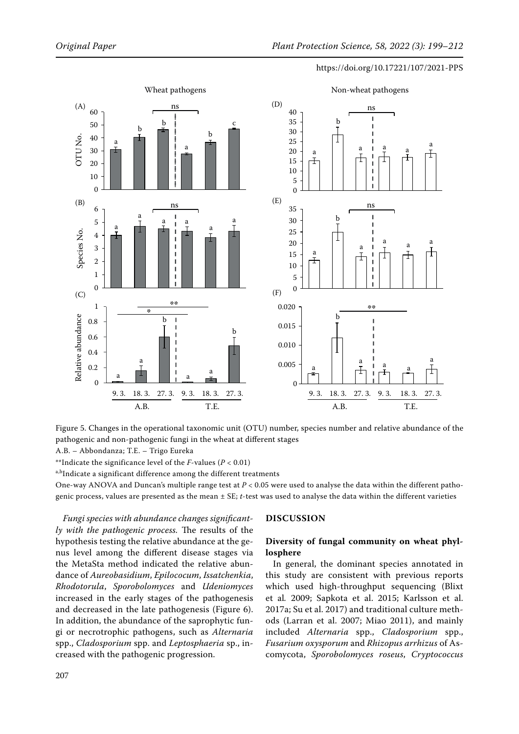

Figure 5. Changes in the operational taxonomic unit (OTU) number, species number and relative abundance of the pathogenic and non-pathogenic fungi in the wheat at different stages

A.B. – Abbondanza; T.E. – Trigo Eureka

\*\*Indicate the significance level of the *F*-values (*P* < 0.01)

a,bIndicate a significant difference among the different treatments

One-way ANOVA and Duncan's multiple range test at *P* < 0.05 were used to analyse the data within the different pathogenic process, values are presented as the mean ± SE; *t*-test was used to analyse the data within the different varieties

*Fungi species with abundance changes significantly with the pathogenic process.* The results of the hypothesis testing the relative abundance at the genus level among the different disease stages via the MetaSta method indicated the relative abundance of *Aureobasidium*, *Epilococum*, *Issatchenkia*, *Rhodotorula*, *Sporobolomyces* and *Udeniomyces*  increased in the early stages of the pathogenesis and decreased in the late pathogenesis (Figure 6). In addition, the abundance of the saprophytic fungi or necrotrophic pathogens, such as *Alternaria*  spp., *Cladosporium* spp. and *Leptosphaeria* sp., increased with the pathogenic progression.

## **DISCUSSION**

# **Diversity of fungal community on wheat phyllosphere**

In general, the dominant species annotated in this study are consistent with previous reports which used high-throughput sequencing (Blixt et al*.* 2009; Sapkota et al. 2015; Karlsson et al. 2017a; Su et al. 2017) and traditional culture methods (Larran et al. 2007; Miao 2011), and mainly included *Alternaria* spp., *Cladosporium* spp., *Fusarium oxysporum* and *Rhizopus arrhizus* of Ascomycota, *Sporobolomyces roseus*, *Cryptococcus*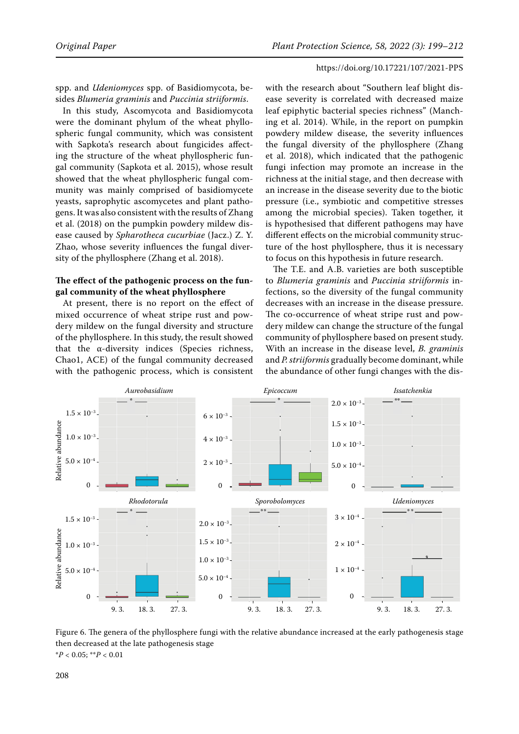spp. and *Udeniomyces* spp. of Basidiomycota, besides *Blumeria graminis* and *Puccinia striiformis*.

In this study, Ascomycota and Basidiomycota were the dominant phylum of the wheat phyllospheric fungal community, which was consistent with Sapkota's research about fungicides affecting the structure of the wheat phyllospheric fungal community (Sapkota et al. 2015), whose result showed that the wheat phyllospheric fungal community was mainly comprised of basidiomycete yeasts, saprophytic ascomycetes and plant pathogens. It was also consistent with the results of Zhang et al. (2018) on the pumpkin powdery mildew disease caused by *Spharotheca cucurbiae* (Jacz.) Z. Y. Zhao, whose severity influences the fungal diversity of the phyllosphere (Zhang et al. 2018).

## **The effect of the pathogenic process on the fungal community of the wheat phyllosphere**

At present, there is no report on the effect of mixed occurrence of wheat stripe rust and powdery mildew on the fungal diversity and structure of the phyllosphere. In this study, the result showed that the α-diversity indices (Species richness, Chao1, ACE) of the fungal community decreased with the pathogenic process, which is consistent

with the research about "Southern leaf blight disease severity is correlated with decreased maize leaf epiphytic bacterial species richness" (Manching et al. 2014). While, in the report on pumpkin powdery mildew disease, the severity influences the fungal diversity of the phyllosphere (Zhang et al. 2018), which indicated that the pathogenic fungi infection may promote an increase in the richness at the initial stage, and then decrease with an increase in the disease severity due to the biotic pressure (i.e., symbiotic and competitive stresses among the microbial species). Taken together, it is hypothesised that different pathogens may have different effects on the microbial community structure of the host phyllosphere, thus it is necessary to focus on this hypothesis in future research.

The T.E. and A.B. varieties are both susceptible to *Blumeria graminis* and *Puccinia striiformis* infections, so the diversity of the fungal community decreases with an increase in the disease pressure. The co-occurrence of wheat stripe rust and powdery mildew can change the structure of the fungal community of phyllosphere based on present study. With an increase in the disease level, *B. graminis* and *P. striiformis* gradually become dominant, while the abundance of other fungi changes with the dis-



Figure 6. The genera of the phyllosphere fungi with the relative abundance increased at the early pathogenesis stage then decreased at the late pathogenesis stage \**P* < 0.05; \*\**P* < 0.01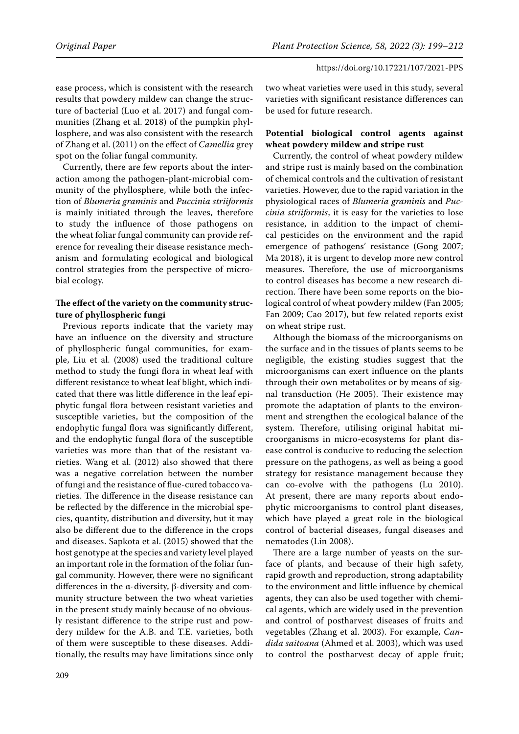ease process, which is consistent with the research results that powdery mildew can change the structure of bacterial (Luo et al. 2017) and fungal communities (Zhang et al. 2018) of the pumpkin phyllosphere, and was also consistent with the research of Zhang et al. (2011) on the effect of *Camellia* grey spot on the foliar fungal community.

Currently, there are few reports about the interaction among the pathogen-plant-microbial community of the phyllosphere, while both the infection of *Blumeria graminis* and *Puccinia striiformis* is mainly initiated through the leaves, therefore to study the influence of those pathogens on the wheat foliar fungal community can provide reference for revealing their disease resistance mechanism and formulating ecological and biological control strategies from the perspective of microbial ecology.

# **The effect of the variety on the community structure of phyllospheric fungi**

Previous reports indicate that the variety may have an influence on the diversity and structure of phyllospheric fungal communities, for example, Liu et al. (2008) used the traditional culture method to study the fungi flora in wheat leaf with different resistance to wheat leaf blight, which indicated that there was little difference in the leaf epiphytic fungal flora between resistant varieties and susceptible varieties, but the composition of the endophytic fungal flora was significantly different, and the endophytic fungal flora of the susceptible varieties was more than that of the resistant varieties. Wang et al. (2012) also showed that there was a negative correlation between the number of fungi and the resistance of flue-cured tobacco varieties. The difference in the disease resistance can be reflected by the difference in the microbial species, quantity, distribution and diversity, but it may also be different due to the difference in the crops and diseases. Sapkota et al. (2015) showed that the host genotype at the species and variety level played an important role in the formation of the foliar fungal community. However, there were no significant differences in the α-diversity, β-diversity and community structure between the two wheat varieties in the present study mainly because of no obviously resistant difference to the stripe rust and powdery mildew for the A.B. and T.E. varieties, both of them were susceptible to these diseases. Additionally, the results may have limitations since only

two wheat varieties were used in this study, several varieties with significant resistance differences can be used for future research.

# **Potential biological control agents against wheat powdery mildew and stripe rust**

Currently, the control of wheat powdery mildew and stripe rust is mainly based on the combination of chemical controls and the cultivation of resistant varieties. However, due to the rapid variation in the physiological races of *Blumeria graminis* and *Puccinia striiformis*, it is easy for the varieties to lose resistance, in addition to the impact of chemical pesticides on the environment and the rapid emergence of pathogens' resistance (Gong 2007; Ma 2018), it is urgent to develop more new control measures. Therefore, the use of microorganisms to control diseases has become a new research direction. There have been some reports on the biological control of wheat powdery mildew (Fan 2005; Fan 2009; Cao 2017), but few related reports exist on wheat stripe rust.

Although the biomass of the microorganisms on the surface and in the tissues of plants seems to be negligible, the existing studies suggest that the microorganisms can exert influence on the plants through their own metabolites or by means of signal transduction (He 2005). Their existence may promote the adaptation of plants to the environment and strengthen the ecological balance of the system. Therefore, utilising original habitat microorganisms in micro-ecosystems for plant disease control is conducive to reducing the selection pressure on the pathogens, as well as being a good strategy for resistance management because they can co-evolve with the pathogens (Lu 2010). At present, there are many reports about endophytic microorganisms to control plant diseases, which have played a great role in the biological control of bacterial diseases, fungal diseases and nematodes (Lin 2008).

There are a large number of yeasts on the surface of plants, and because of their high safety, rapid growth and reproduction, strong adaptability to the environment and little influence by chemical agents, they can also be used together with chemical agents, which are widely used in the prevention and control of postharvest diseases of fruits and vegetables (Zhang et al. 2003). For example, *Candida saitoana* (Ahmed et al. 2003), which was used to control the postharvest decay of apple fruit;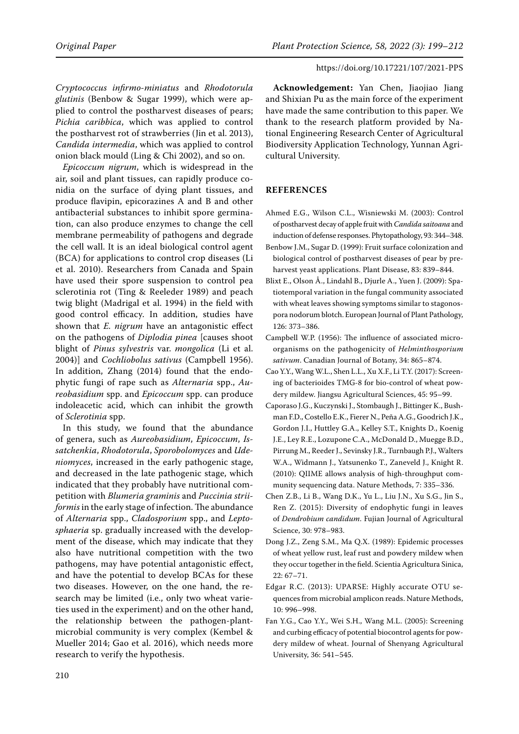*Cryptococcus infirmo-miniatus* and *Rhodotorula glutinis* (Benbow & Sugar 1999), which were applied to control the postharvest diseases of pears; *Pichia caribbica*, which was applied to control the postharvest rot of strawberries (Jin et al. 2013), *Candida intermedia*, which was applied to control onion black mould (Ling & Chi 2002), and so on.

*Epicoccum nigrum*, which is widespread in the air, soil and plant tissues, can rapidly produce conidia on the surface of dying plant tissues, and produce flavipin, epicorazines A and B and other antibacterial substances to inhibit spore germination, can also produce enzymes to change the cell membrane permeability of pathogens and degrade the cell wall. It is an ideal biological control agent (BCA) for applications to control crop diseases (Li et al. 2010). Researchers from Canada and Spain have used their spore suspension to control pea sclerotinia rot (Ting & Reeleder 1989) and peach twig blight (Madrigal et al. 1994) in the field with good control efficacy. In addition, studies have shown that *E. nigrum* have an antagonistic effect on the pathogens of *Diplodia pinea* [causes shoot blight of *Pinus sylvestris* var. *mongolica* (Li et al. 2004)] and *Cochliobolus sativus* (Campbell 1956). In addition, Zhang (2014) found that the endophytic fungi of rape such as *Alternaria* spp., *Aureobasidium* spp. and *Epicoccum* spp. can produce indoleacetic acid, which can inhibit the growth of *Sclerotinia* spp.

In this study, we found that the abundance of genera, such as *Aureobasidium*, *Epicoccum*, *Issatchenkia*, *Rhodotorula*, *Sporobolomyces* and *Udeniomyces*, increased in the early pathogenic stage, and decreased in the late pathogenic stage, which indicated that they probably have nutritional competition with *Blumeria graminis* and *Puccinia striiformis* in the early stage of infection. The abundance of *Alternaria* spp., *Cladosporium* spp., and *Leptosphaeria* sp. gradually increased with the development of the disease, which may indicate that they also have nutritional competition with the two pathogens, may have potential antagonistic effect, and have the potential to develop BCAs for these two diseases. However, on the one hand, the research may be limited (i.e., only two wheat varieties used in the experiment) and on the other hand, the relationship between the pathogen-plantmicrobial community is very complex (Kembel & Mueller 2014; Gao et al. 2016), which needs more research to verify the hypothesis.

**Acknowledgement:** Yan Chen, Jiaojiao Jiang and Shixian Pu as the main force of the experiment have made the same contribution to this paper. We thank to the research platform provided by National Engineering Research Center of Agricultural Biodiversity Application Technology, Yunnan Agricultural University.

# **REFERENCES**

- Ahmed E.G., Wilson C.L., Wisniewski M. (2003): Control of postharvest decay of apple fruit with *Candida saitoana* and induction of defense responses. Phytopathology, 93: 344–348.
- Benbow J.M., Sugar D. (1999): Fruit surface colonization and biological control of postharvest diseases of pear by preharvest yeast applications. Plant Disease, 83: 839–844.
- Blixt E., Olson Å., Lindahl B., Djurle A., Yuen J. (2009): Spatiotemporal variation in the fungal community associated with wheat leaves showing symptoms similar to stagonospora nodorum blotch. European Journal of Plant Pathology, 126: 373–386.
- Campbell W.P. (1956): The influence of associated microorganisms on the pathogenicity of *Helminthosporium sativum*. Canadian Journal of Botany, 34: 865–874.
- Cao Y.Y., Wang W.L., Shen L.L., Xu X.F., Li T.Y. (2017): Screening of bacterioides TMG-8 for bio-control of wheat powdery mildew. Jiangsu Agricultural Sciences, 45: 95–99.
- Caporaso J.G., Kuczynski J., Stombaugh J., Bittinger K., Bushman F.D., Costello E.K., Fierer N., Peña A.G., Goodrich J.K., Gordon J.I., Huttley G.A., Kelley S.T., Knights D., Koenig J.E., Ley R.E., Lozupone C.A., McDonald D., Muegge B.D., Pirrung M., Reeder J., Sevinsky J.R., Turnbaugh P.J., Walters W.A., Widmann J., Yatsunenko T., Zaneveld J., Knight R. (2010): QIIME allows analysis of high-throughput community sequencing data. Nature Methods, 7: 335–336.
- Chen Z.B., Li B., Wang D.K., Yu L., Liu J.N., Xu S.G., Jin S., Ren Z. (2015): Diversity of endophytic fungi in leaves of *Dendrobium candidum*. Fujian Journal of Agricultural Science, 30: 978–983.
- Dong J.Z., Zeng S.M., Ma Q.X. (1989): Epidemic processes of wheat yellow rust, leaf rust and powdery mildew when they occur together in the field. Scientia Agricultura Sinica, 22: 67–71.
- Edgar R.C. (2013): UPARSE: Highly accurate OTU sequences from microbial amplicon reads. Nature Methods, 10: 996–998.
- Fan Y.G., Cao Y.Y., Wei S.H., Wang M.L. (2005): Screening and curbing efficacy of potential biocontrol agents for powdery mildew of wheat. Journal of Shenyang Agricultural University, 36: 541–545.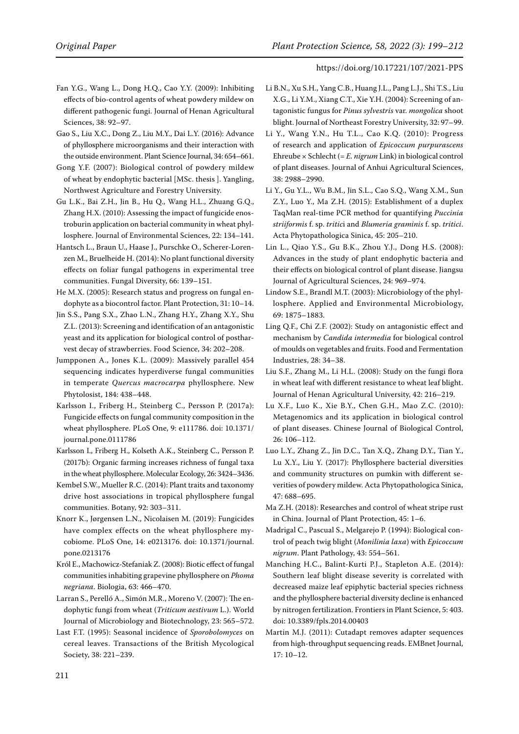- Fan Y.G., Wang L., Dong H.Q., Cao Y.Y. (2009): Inhibiting effects of bio-control agents of wheat powdery mildew on different pathogenic fungi. Journal of Henan Agricultural Sciences, 38: 92–97.
- Gao S., Liu X.C., Dong Z., Liu M.Y., Dai L.Y. (2016): Advance of phyllosphere microorganisms and their interaction with the outside environment. Plant Science Journal, 34: 654–661.
- Gong Y.F. (2007): Biological control of powdery mildew of wheat by endophytic bacterial [MSc. thesis ]. Yangling, Northwest Agriculture and Forestry University.
- Gu L.K., Bai Z.H., Jin B., Hu Q., Wang H.L., Zhuang G.Q., Zhang H.X. (2010): Assessing the impact of fungicide enostroburin application on bacterial community in wheat phyllosphere. Journal of Environmental Sciences, 22: 134–141.
- Hantsch L., Braun U., Haase J., Purschke O., Scherer-Lorenzen M., Bruelheide H. (2014): No plant functional diversity effects on foliar fungal pathogens in experimental tree communities. Fungal Diversity, 66: 139–151.
- He M.X. (2005): Research status and progress on fungal endophyte as a biocontrol factor. Plant Protection, 31: 10–14.
- Jin S.S., Pang S.X., Zhao L.N., Zhang H.Y., Zhang X.Y., Shu Z.L. (2013): Screening and identification of an antagonistic yeast and its application for biological control of postharvest decay of strawberries. Food Science, 34: 202–208.
- Jumpponen A., Jones K.L. (2009): Massively parallel 454 sequencing indicates hyperdiverse fungal communities in temperate *Quercus macrocarpa* phyllosphere. New Phytolosist, 184: 438–448.
- Karlsson I., Friberg H., Steinberg C., Persson P. (2017a): Fungicide effects on fungal community composition in the wheat phyllosphere. PLoS One, 9: e111786. doi: 10.1371/ journal.pone.0111786
- Karlsson I., Friberg H., Kolseth A.K., Steinberg C., Persson P. (2017b): Organic farming increases richness of fungal taxa in the wheat phyllosphere. Molecular Ecology, 26: 3424–3436.
- Kembel S.W., Mueller R.C. (2014): Plant traits and taxonomy drive host associations in tropical phyllosphere fungal communities. Botany, 92: 303–311.
- Knorr K., Jørgensen L.N., Nicolaisen M. (2019): Fungicides have complex effects on the wheat phyllosphere mycobiome. PLoS One, 14: e0213176. doi: 10.1371/journal. pone.0213176
- Król E., Machowicz-Stefaniak Z. (2008): Biotic effect of fungal communities inhabiting grapevine phyllosphere on *Phoma negriana*. Biologia, 63: 466–470.
- Larran S., Perelló A., Simón M.R., Moreno V. (2007): The endophytic fungi from wheat (*Triticum aestivum* L.). World Journal of Microbiology and Biotechnology, 23: 565–572.
- Last F.T. (1995): Seasonal incidence of *Sporobolomyces* on cereal leaves. Transactions of the British Mycological Society, 38: 221–239.
- Li B.N., Xu S.H., Yang C.B., Huang J.L., Pang L.J., Shi T.S., Liu X.G., Li Y.M., Xiang C.T., Xie Y.H. (2004): Screening of antagonistic fungus for *Pinus sylvestris* var. *mongolica* shoot blight. Journal of Northeast Forestry University, 32: 97–99.
- Li Y., Wang Y.N., Hu T.L., Cao K.Q. (2010): Progress of research and application of *Epicoccum purpurascens* Ehreube × Schlecht (= *E. nigrum* Link) in biological control of plant diseases. Journal of Anhui Agricultural Sciences, 38: 2988–2990.
- Li Y., Gu Y.L., Wu B.M., Jin S.L., Cao S.Q., Wang X.M., Sun Z.Y., Luo Y., Ma Z.H. (2015): Establishment of a duplex TaqMan real-time PCR method for quantifying *Puccinia striiformis* f. sp. *tritic*i and *Blumeria graminis* f. sp. *tritici*. Acta Phytopathologica Sinica, 45: 205–210.
- Lin L., Qiao Y.S., Gu B.K., Zhou Y.J., Dong H.S. (2008): Advances in the study of plant endophytic bacteria and their effects on biological control of plant disease. Jiangsu Journal of Agricultural Sciences, 24: 969–974.
- Lindow S.E., Brandl M.T. (2003): Microbiology of the phyllosphere. Applied and Environmental Microbiology, 69: 1875–1883.
- Ling Q.F., Chi Z.F. (2002): Study on antagonistic effect and mechanism by *Candida intermedia* for biological control of moulds on vegetables and fruits. Food and Fermentation Industries, 28: 34–38.
- Liu S.F., Zhang M., Li H.L. (2008): Study on the fungi flora in wheat leaf with different resistance to wheat leaf blight. Journal of Henan Agricultural University, 42: 216–219.
- Lu X.F., Luo K., Xie B.Y., Chen G.H., Mao Z.C. (2010): Metagenomics and its application in biological control of plant diseases. Chinese Journal of Biological Control, 26: 106–112.
- Luo L.Y., Zhang Z., Jin D.C., Tan X.Q., Zhang D.Y., Tian Y., Lu X.Y., Liu Y. (2017): Phyllosphere bacterial diversities and community structures on pumkin with different severities of powdery mildew. Acta Phytopathologica Sinica, 47: 688–695.
- Ma Z.H. (2018): Researches and control of wheat stripe rust in China. Journal of Plant Protection, 45: 1–6.
- Madrigal C., Pascual S., Melgarejo P. (1994): Biological control of peach twig blight (*Monilinia laxa*) with *Epicoccum nigrum*. Plant Pathology, 43: 554–561.
- Manching H.C., Balint-Kurti P.J., Stapleton A.E. (2014): Southern leaf blight disease severity is correlated with decreased maize leaf epiphytic bacterial species richness and the phyllosphere bacterial diversity decline is enhanced by nitrogen fertilization. Frontiers in Plant Science, 5: 403. doi: 10.3389/fpls.2014.00403
- Martin M.J. (2011): Cutadapt removes adapter sequences from high-throughput sequencing reads. EMBnet Journal, 17: 10–12.